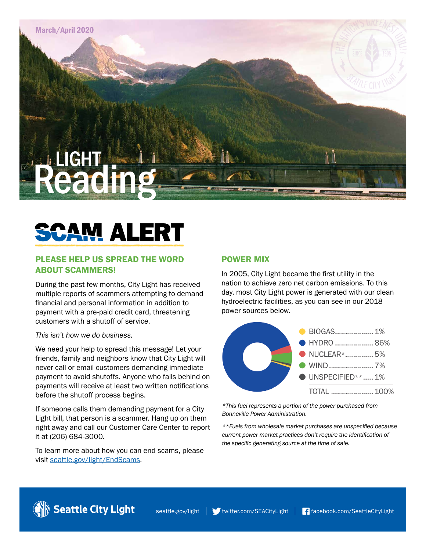

# **AM ALERT**

# PLEASE HELP US SPREAD THE WORD ABOUT SCAMMERS!

During the past few months, City Light has received multiple reports of scammers attempting to demand financial and personal information in addition to payment with a pre-paid credit card, threatening customers with a shutoff of service.

#### *This isn't how we do business.*

We need your help to spread this message! Let your friends, family and neighbors know that City Light will never call or email customers demanding immediate payment to avoid shutoffs. Anyone who falls behind on payments will receive at least two written notifications before the shutoff process begins.

If someone calls them demanding payment for a City Light bill, that person is a scammer. Hang up on them right away and call our Customer Care Center to report it at (206) 684-3000.

To learn more about how you can end scams, please visit [seattle.gov/light/EndScams.](http://www.seattle.gov/light/EndScams)

## POWER MIX

In 2005, City Light became the first utility in the nation to achieve zero net carbon emissions. To this day, most City Light power is generated with our clean hydroelectric facilities, as you can see in our 2018 power sources below.



*\*This fuel represents a portion of the power purchased from Bonneville Power Administration.*

*\*\*Fuels from wholesale market purchases are unspecified because current power market practices don't require the identification of the specific generating source at the time of sale.*